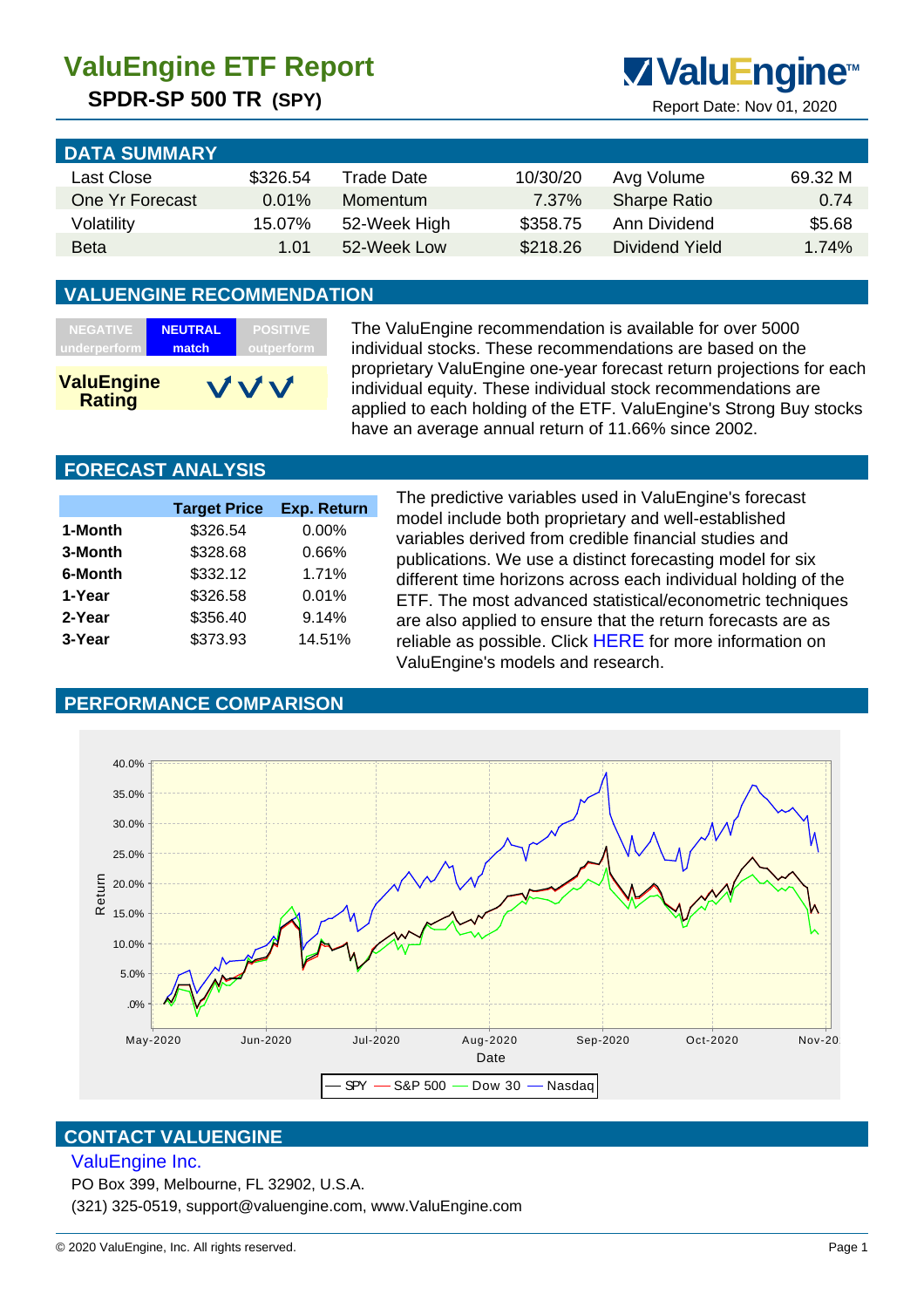## **SPDR-SP 500 TR (SPY)** Report Date: Nov 01, 2020



| <b>DATA SUMMARY</b> |          |              |          |                     |         |
|---------------------|----------|--------------|----------|---------------------|---------|
| Last Close          | \$326.54 | Trade Date   | 10/30/20 | Avg Volume          | 69.32 M |
| One Yr Forecast     | 0.01%    | Momentum     | 7.37%    | <b>Sharpe Ratio</b> | 0.74    |
| Volatility          | 15.07%   | 52-Week High | \$358.75 | Ann Dividend        | \$5.68  |
| <b>Beta</b>         | 1.01     | 52-Week Low  | \$218.26 | Dividend Yield      | 1.74%   |

#### **VALUENGINE RECOMMENDATION**

| <b>NEGATIVE</b>                    | <b>NEUTRAL</b> | <b>POSITIVE</b> |
|------------------------------------|----------------|-----------------|
| underperform                       | match          | outperform      |
| <b>ValuEngine</b><br><b>Rating</b> |                | VVV             |

The ValuEngine recommendation is available for over 5000 individual stocks. These recommendations are based on the proprietary ValuEngine one-year forecast return projections for each individual equity. These individual stock recommendations are applied to each holding of the ETF. ValuEngine's Strong Buy stocks have an average annual return of 11.66% since 2002.

#### **FORECAST ANALYSIS**

|         | <b>Target Price</b> | <b>Exp. Return</b> |
|---------|---------------------|--------------------|
| 1-Month | \$326.54            | $0.00\%$           |
| 3-Month | \$328.68            | 0.66%              |
| 6-Month | \$332.12            | 1.71%              |
| 1-Year  | \$326.58            | 0.01%              |
| 2-Year  | \$356.40            | 9.14%              |
| 3-Year  | \$373.93            | 14.51%             |
|         |                     |                    |

The predictive variables used in ValuEngine's forecast model include both proprietary and well-established variables derived from credible financial studies and publications. We use a distinct forecasting model for six different time horizons across each individual holding of the ETF. The most advanced statistical/econometric techniques are also applied to ensure that the return forecasts are as reliable as possible. Click HERE for more information on ValuEngine's models and research.

### **PERFORMANCE COMPARISON**



#### **CONTACT VALUENGINE**

#### ValuEngine Inc.

PO Box 399, Melbourne, FL 32902, U.S.A.

(321) 325-0519, support@valuengine.com, www.ValuEngine.com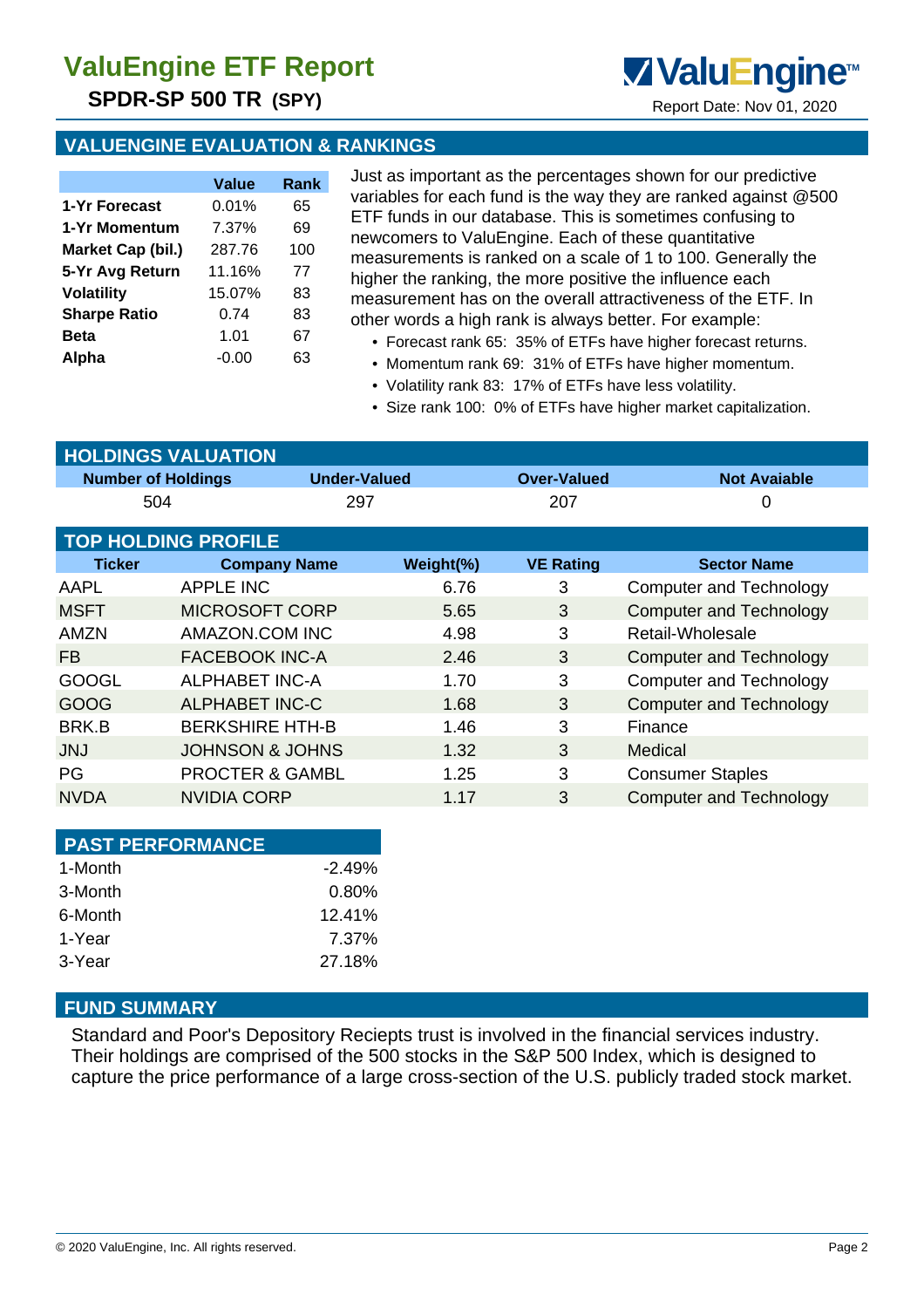# **ValuEngine ETF Report**

**SPDR-SP 500 TR (SPY)** Report Date: Nov 01, 2020

#### **VALUENGINE EVALUATION & RANKINGS**

|                     | Value   | Rank |
|---------------------|---------|------|
| 1-Yr Forecast       | 0.01%   | 65   |
| 1-Yr Momentum       | 7.37%   | 69   |
| Market Cap (bil.)   | 287.76  | 100  |
| 5-Yr Avg Return     | 11.16%  | 77   |
| <b>Volatility</b>   | 15.07%  | 83   |
| <b>Sharpe Ratio</b> | 0.74    | 83   |
| <b>Beta</b>         | 1.01    | 67   |
| Alpha               | $-0.00$ | 63   |

Just as important as the percentages shown for our predictive variables for each fund is the way they are ranked against @500 ETF funds in our database. This is sometimes confusing to newcomers to ValuEngine. Each of these quantitative measurements is ranked on a scale of 1 to 100. Generally the higher the ranking, the more positive the influence each measurement has on the overall attractiveness of the ETF. In other words a high rank is always better. For example:

**ValuEngine**<sup>™</sup>

- Forecast rank 65: 35% of ETFs have higher forecast returns.
- Momentum rank 69: 31% of ETFs have higher momentum.
- Volatility rank 83: 17% of ETFs have less volatility.
- Size rank 100: 0% of ETFs have higher market capitalization.

| <b>HOLDINGS VALUATION</b>  |                            |                     |                    |                                |  |  |  |
|----------------------------|----------------------------|---------------------|--------------------|--------------------------------|--|--|--|
| <b>Number of Holdings</b>  |                            | <b>Under-Valued</b> | <b>Over-Valued</b> | <b>Not Avaiable</b>            |  |  |  |
| 504                        |                            | 297                 | 207                | 0                              |  |  |  |
| <b>TOP HOLDING PROFILE</b> |                            |                     |                    |                                |  |  |  |
| <b>Ticker</b>              | <b>Company Name</b>        | Weight(%)           | <b>VE Rating</b>   | <b>Sector Name</b>             |  |  |  |
| AAPL                       | <b>APPLE INC</b>           | 6.76                | 3                  | Computer and Technology        |  |  |  |
| <b>MSFT</b>                | <b>MICROSOFT CORP</b>      | 5.65                | 3                  | <b>Computer and Technology</b> |  |  |  |
| <b>AMZN</b>                | AMAZON.COM INC             | 4.98                | 3                  | Retail-Wholesale               |  |  |  |
| FB.                        | <b>FACEBOOK INC-A</b>      | 2.46                | 3                  | <b>Computer and Technology</b> |  |  |  |
| <b>GOOGL</b>               | <b>ALPHABET INC-A</b>      | 1.70                | 3                  | <b>Computer and Technology</b> |  |  |  |
| GOOG                       | <b>ALPHABET INC-C</b>      | 1.68                | 3                  | <b>Computer and Technology</b> |  |  |  |
| BRK.B                      | <b>BERKSHIRE HTH-B</b>     | 1.46                | 3                  | Finance                        |  |  |  |
| <b>JNJ</b>                 | <b>JOHNSON &amp; JOHNS</b> | 1.32                | 3                  | Medical                        |  |  |  |
| PG                         | <b>PROCTER &amp; GAMBL</b> | 1.25                | 3                  | <b>Consumer Staples</b>        |  |  |  |
| <b>NVDA</b>                | NVIDIA CORP                | 1.17                | 3                  | <b>Computer and Technology</b> |  |  |  |

| <b>PAST PERFORMANCE</b> |          |
|-------------------------|----------|
| 1-Month                 | $-2.49%$ |
| 3-Month                 | $0.80\%$ |
| 6-Month                 | 12.41%   |
| 1-Year                  | 7.37%    |
| 3-Year                  | 27.18%   |

### **FUND SUMMARY**

Standard and Poor's Depository Reciepts trust is involved in the financial services industry. Their holdings are comprised of the 500 stocks in the S&P 500 Index, which is designed to capture the price performance of a large cross-section of the U.S. publicly traded stock market.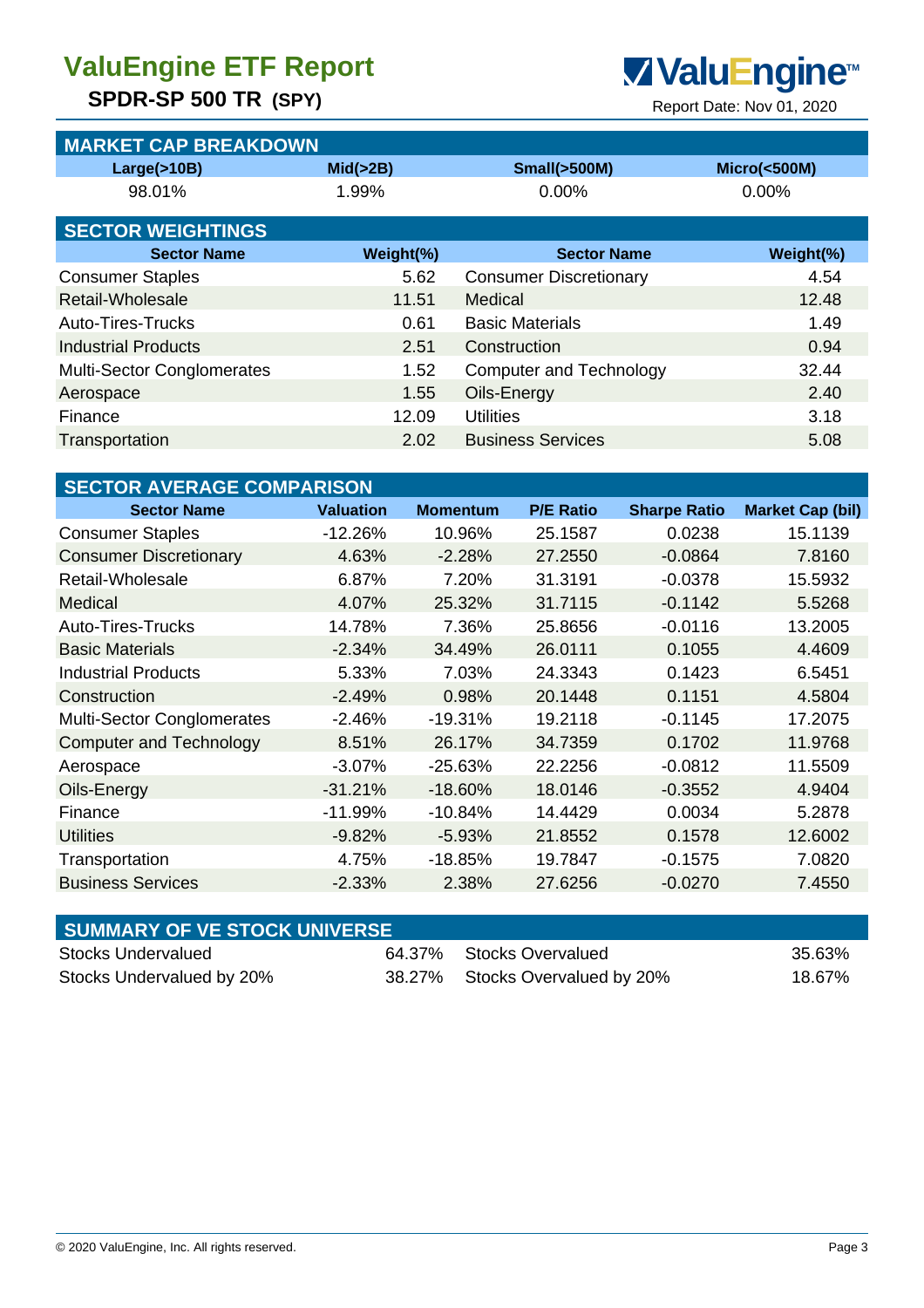# **ValuEngine ETF Report ValuEngine**<sup>™</sup>

## **SPDR-SP 500 TR (SPY)**<br>Report Date: Nov 01, 2020

| <b>MARKET CAP BREAKDOWN</b>       |                  |                 |                               |                                |                     |                         |  |
|-----------------------------------|------------------|-----------------|-------------------------------|--------------------------------|---------------------|-------------------------|--|
| Large(>10B)                       | Mid( > 2B)       |                 | <b>Small(&gt;500M)</b>        |                                |                     | <b>Micro(&lt;500M)</b>  |  |
| 98.01%                            | 1.99%            |                 | 0.00%                         |                                |                     | 0.00%                   |  |
| <b>SECTOR WEIGHTINGS</b>          |                  |                 |                               |                                |                     |                         |  |
| <b>Sector Name</b>                |                  | Weight(%)       |                               | <b>Sector Name</b>             |                     | Weight(%)               |  |
| <b>Consumer Staples</b>           |                  | 5.62            | <b>Consumer Discretionary</b> |                                |                     | 4.54                    |  |
| Retail-Wholesale                  |                  | 11.51           | Medical                       |                                |                     | 12.48                   |  |
| <b>Auto-Tires-Trucks</b>          |                  | 0.61            |                               | <b>Basic Materials</b>         |                     | 1.49                    |  |
| <b>Industrial Products</b>        |                  | 2.51            |                               | Construction                   |                     | 0.94                    |  |
| <b>Multi-Sector Conglomerates</b> |                  | 1.52            |                               | <b>Computer and Technology</b> |                     | 32.44                   |  |
| Aerospace                         |                  | 1.55            |                               | Oils-Energy                    |                     | 2.40                    |  |
| Finance                           |                  | 12.09           |                               | <b>Utilities</b>               |                     | 3.18                    |  |
| Transportation                    |                  | 2.02            |                               | <b>Business Services</b>       |                     | 5.08                    |  |
|                                   |                  |                 |                               |                                |                     |                         |  |
| <b>SECTOR AVERAGE COMPARISON</b>  |                  |                 |                               |                                |                     |                         |  |
| <b>Sector Name</b>                | <b>Valuation</b> | <b>Momentum</b> |                               | <b>P/E Ratio</b>               | <b>Sharpe Ratio</b> | <b>Market Cap (bil)</b> |  |
| <b>Consumer Staples</b>           | $-12.26%$        | 10.96%          |                               | 25.1587                        | 0.0238              | 15.1139                 |  |
| <b>Consumer Discretionary</b>     | 4.63%            | $-2.28%$        |                               | 27.2550                        | $-0.0864$           | 7.8160                  |  |
| Retail-Wholesale                  | 6.87%            | 7.20%           |                               | 31.3191                        | $-0.0378$           | 15.5932                 |  |
| Medical                           | 4.07%            | 25.32%          |                               | 31.7115                        | $-0.1142$           | 5.5268                  |  |
| <b>Auto-Tires-Trucks</b>          | 14.78%           | 7.36%           |                               | 25.8656                        | $-0.0116$           | 13.2005                 |  |
| <b>Basic Materials</b>            | $-2.34%$         | 34.49%          |                               | 26.0111                        | 0.1055              | 4.4609                  |  |
| <b>Industrial Products</b>        | 5.33%            | 7.03%           |                               | 24.3343                        | 0.1423              | 6.5451                  |  |
| Construction                      | $-2.49%$         | 0.98%           |                               | 20.1448                        | 0.1151              | 4.5804                  |  |
| <b>Multi-Sector Conglomerates</b> | $-2.46%$         | $-19.31%$       |                               | 19.2118                        | $-0.1145$           | 17.2075                 |  |
| <b>Computer and Technology</b>    | 8.51%            | 26.17%          |                               | 34.7359                        | 0.1702              | 11.9768                 |  |
| Aerospace                         | $-3.07%$         | $-25.63%$       |                               | 22.2256                        | $-0.0812$           | 11.5509                 |  |
| Oils-Energy                       | $-31.21%$        | $-18.60%$       |                               | 18.0146                        | $-0.3552$           | 4.9404                  |  |
| Finance                           | $-11.99%$        | $-10.84%$       |                               | 14.4429                        | 0.0034              | 5.2878                  |  |
| <b>Utilities</b>                  | $-9.82%$         | $-5.93%$        |                               | 21.8552                        | 0.1578              | 12.6002                 |  |

| <b>SUMMARY OF VE STOCK UNIVERSE</b> |                                 |        |
|-------------------------------------|---------------------------------|--------|
| Stocks Undervalued                  | 64.37% Stocks Overvalued        | 35.63% |
| Stocks Undervalued by 20%           | 38.27% Stocks Overvalued by 20% | 18.67% |

Transportation **4.75%** -18.85% 19.7847 -0.1575 7.0820 Business Services -2.33% 2.38% 27.6256 -0.0270 7.4550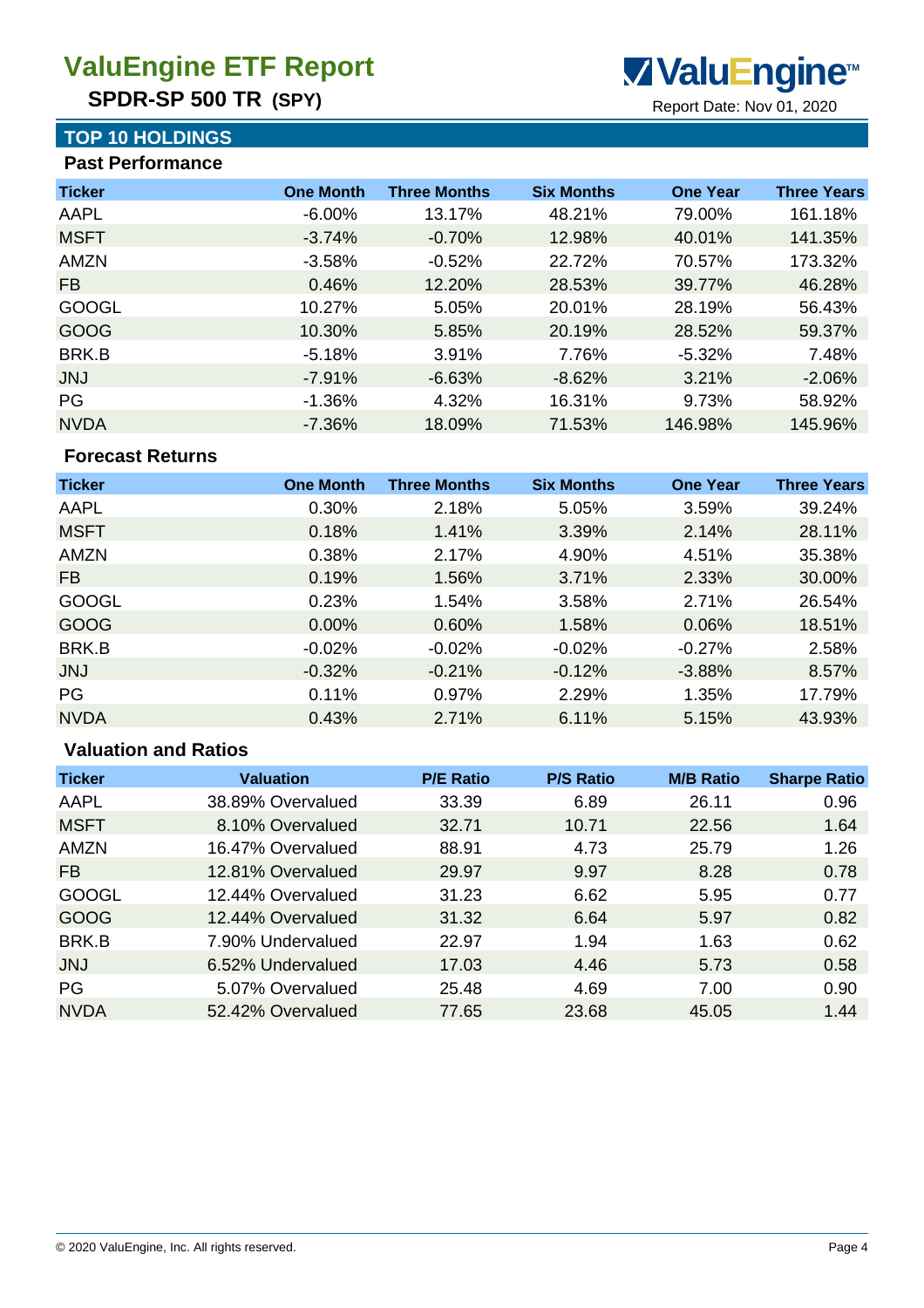**SPDR-SP 500 TR (SPY)** Report Date: Nov 01, 2020

### **TOP 10 HOLDINGS**

 **Past Performance**

| <b>One Month</b> | <b>Three Months</b> | <b>Six Months</b> | <b>One Year</b> | <b>Three Years</b> |
|------------------|---------------------|-------------------|-----------------|--------------------|
| $-6.00\%$        | 13.17%              | 48.21%            | 79.00%          | 161.18%            |
| $-3.74%$         | $-0.70%$            | 12.98%            | 40.01%          | 141.35%            |
| $-3.58%$         | $-0.52%$            | 22.72%            | 70.57%          | 173.32%            |
| 0.46%            | 12.20%              | 28.53%            | 39.77%          | 46.28%             |
| 10.27%           | 5.05%               | 20.01%            | 28.19%          | 56.43%             |
| 10.30%           | 5.85%               | 20.19%            | 28.52%          | 59.37%             |
| $-5.18%$         | 3.91%               | 7.76%             | $-5.32%$        | 7.48%              |
| $-7.91%$         | $-6.63%$            | $-8.62%$          | 3.21%           | $-2.06%$           |
| $-1.36%$         | 4.32%               | 16.31%            | 9.73%           | 58.92%             |
| $-7.36%$         | 18.09%              | 71.53%            | 146.98%         | 145.96%            |
|                  |                     |                   |                 |                    |

#### **Forecast Returns**

| <b>Ticker</b> | <b>One Month</b> | <b>Three Months</b> | <b>Six Months</b> | <b>One Year</b> | <b>Three Years</b> |
|---------------|------------------|---------------------|-------------------|-----------------|--------------------|
| AAPL          | 0.30%            | 2.18%               | 5.05%             | 3.59%           | 39.24%             |
| <b>MSFT</b>   | 0.18%            | 1.41%               | 3.39%             | 2.14%           | 28.11%             |
| <b>AMZN</b>   | 0.38%            | 2.17%               | 4.90%             | 4.51%           | 35.38%             |
| FB.           | 0.19%            | 1.56%               | 3.71%             | 2.33%           | 30.00%             |
| <b>GOOGL</b>  | 0.23%            | 1.54%               | 3.58%             | 2.71%           | 26.54%             |
| GOOG          | 0.00%            | 0.60%               | 1.58%             | 0.06%           | 18.51%             |
| BRK.B         | $-0.02%$         | $-0.02%$            | $-0.02%$          | $-0.27%$        | 2.58%              |
| <b>JNJ</b>    | $-0.32%$         | $-0.21%$            | $-0.12%$          | $-3.88%$        | 8.57%              |
| PG            | 0.11%            | 0.97%               | 2.29%             | 1.35%           | 17.79%             |
| <b>NVDA</b>   | 0.43%            | 2.71%               | 6.11%             | 5.15%           | 43.93%             |

#### **Valuation and Ratios**

| <b>Ticker</b> | <b>Valuation</b>  | <b>P/E Ratio</b> | <b>P/S Ratio</b> | <b>M/B Ratio</b> | <b>Sharpe Ratio</b> |
|---------------|-------------------|------------------|------------------|------------------|---------------------|
| AAPL          | 38.89% Overvalued | 33.39            | 6.89             | 26.11            | 0.96                |
| <b>MSFT</b>   | 8.10% Overvalued  | 32.71            | 10.71            | 22.56            | 1.64                |
| <b>AMZN</b>   | 16.47% Overvalued | 88.91            | 4.73             | 25.79            | 1.26                |
| <b>FB</b>     | 12.81% Overvalued | 29.97            | 9.97             | 8.28             | 0.78                |
| <b>GOOGL</b>  | 12.44% Overvalued | 31.23            | 6.62             | 5.95             | 0.77                |
| GOOG          | 12.44% Overvalued | 31.32            | 6.64             | 5.97             | 0.82                |
| BRK.B         | 7.90% Undervalued | 22.97            | 1.94             | 1.63             | 0.62                |
| <b>JNJ</b>    | 6.52% Undervalued | 17.03            | 4.46             | 5.73             | 0.58                |
| PG            | 5.07% Overvalued  | 25.48            | 4.69             | 7.00             | 0.90                |
| <b>NVDA</b>   | 52.42% Overvalued | 77.65            | 23.68            | 45.05            | 1.44                |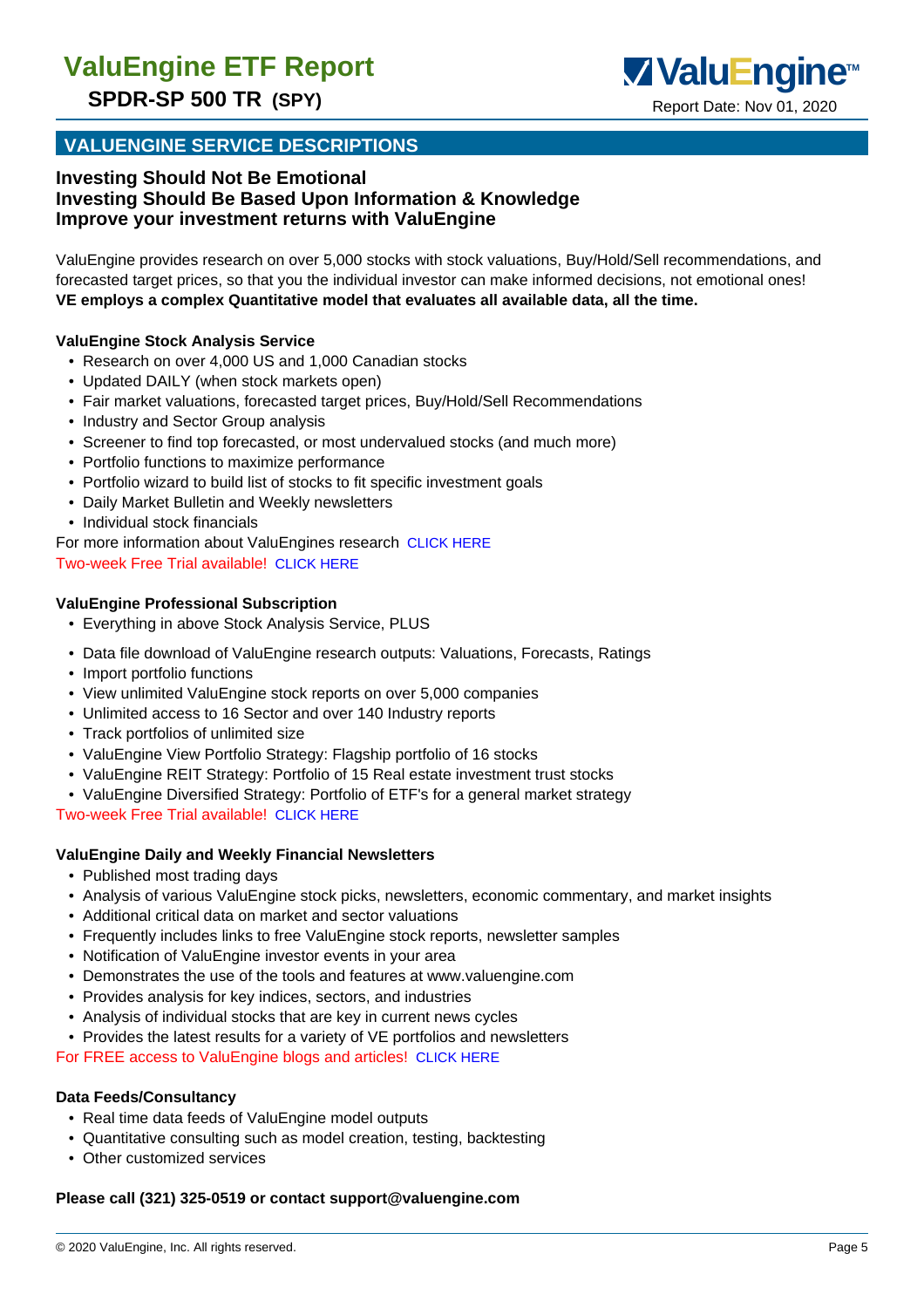

#### **VALUENGINE SERVICE DESCRIPTIONS**

#### **Investing Should Not Be Emotional Investing Should Be Based Upon Information & Knowledge Improve your investment returns with ValuEngine**

ValuEngine provides research on over 5,000 stocks with stock valuations, Buy/Hold/Sell recommendations, and forecasted target prices, so that you the individual investor can make informed decisions, not emotional ones! **VE employs a complex Quantitative model that evaluates all available data, all the time.**

#### **ValuEngine Stock Analysis Service**

- Research on over 4,000 US and 1,000 Canadian stocks
- Updated DAILY (when stock markets open)
- Fair market valuations, forecasted target prices, Buy/Hold/Sell Recommendations
- Industry and Sector Group analysis
- Screener to find top forecasted, or most undervalued stocks (and much more)
- Portfolio functions to maximize performance
- Portfolio wizard to build list of stocks to fit specific investment goals
- Daily Market Bulletin and Weekly newsletters
- Individual stock financials
- For more information about ValuEngines research CLICK HERE Two-week Free Trial available! CLICK HERE

#### **ValuEngine Professional Subscription**

- Everything in above Stock Analysis Service, PLUS
- Data file download of ValuEngine research outputs: Valuations, Forecasts, Ratings
- Import portfolio functions
- View unlimited ValuEngine stock reports on over 5,000 companies
- Unlimited access to 16 Sector and over 140 Industry reports
- Track portfolios of unlimited size
- ValuEngine View Portfolio Strategy: Flagship portfolio of 16 stocks
- ValuEngine REIT Strategy: Portfolio of 15 Real estate investment trust stocks
- ValuEngine Diversified Strategy: Portfolio of ETF's for a general market strategy

Two-week Free Trial available! CLICK HERE

#### **ValuEngine Daily and Weekly Financial Newsletters**

- Published most trading days
- Analysis of various ValuEngine stock picks, newsletters, economic commentary, and market insights
- Additional critical data on market and sector valuations
- Frequently includes links to free ValuEngine stock reports, newsletter samples
- Notification of ValuEngine investor events in your area
- Demonstrates the use of the tools and features at www.valuengine.com
- Provides analysis for key indices, sectors, and industries
- Analysis of individual stocks that are key in current news cycles
- Provides the latest results for a variety of VE portfolios and newsletters

For FREE access to ValuEngine blogs and articles! CLICK HERE

#### **Data Feeds/Consultancy**

- Real time data feeds of ValuEngine model outputs
- Quantitative consulting such as model creation, testing, backtesting
- Other customized services

#### **Please call (321) 325-0519 or contact support@valuengine.com**